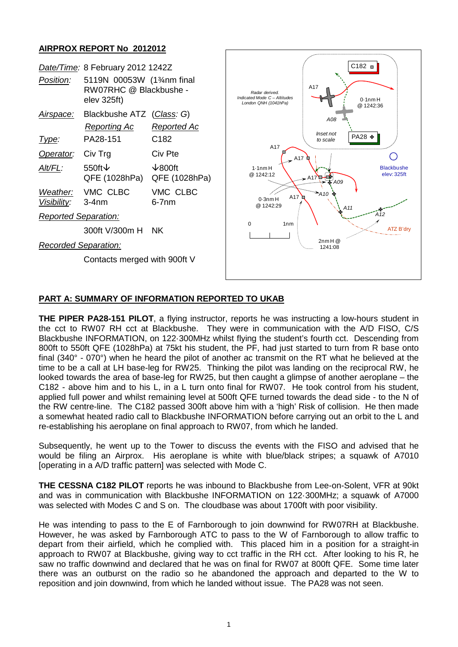## **AIRPROX REPORT No 2012012**

|                             | Date/Time: 8 February 2012 1242Z                                   |                                  |
|-----------------------------|--------------------------------------------------------------------|----------------------------------|
| <i>Position:</i>            | 5119N 00053W (134nm final<br>RW07RHC @ Blackbushe -<br>elev 325ft) |                                  |
| Airspace:                   | Blackbushe ATZ (Class: G)                                          |                                  |
|                             | Reporting Ac                                                       | Reported Ac                      |
| lype:                       | PA28-151                                                           | C <sub>182</sub>                 |
| Operator:                   | Civ Trg                                                            | Civ Pte                          |
| AIt/FL:                     | 550ft $\vee$<br>QFE (1028hPa)                                      | $\sqrt{800}$ ft<br>QFE (1028hPa) |
| Visibility: 3-4nm           | Weather: VMC CLBC                                                  | VMC CLBC<br>6-7nm                |
| <b>Reported Separation:</b> |                                                                    |                                  |
|                             | 300ft V/300m H NK                                                  |                                  |
| Recorded Separation:        |                                                                    |                                  |

Contacts merged with 900ft V



## **PART A: SUMMARY OF INFORMATION REPORTED TO UKAB**

**THE PIPER PA28-151 PILOT**, a flying instructor, reports he was instructing a low-hours student in the cct to RW07 RH cct at Blackbushe. They were in communication with the A/D FISO, C/S Blackbushe INFORMATION, on 122·300MHz whilst flying the student's fourth cct. Descending from 800ft to 550ft QFE (1028hPa) at 75kt his student, the PF, had just started to turn from R base onto final (340° - 070°) when he heard the pilot of another ac transmit on the RT what he believed at the time to be a call at LH base-leg for RW25. Thinking the pilot was landing on the reciprocal RW, he looked towards the area of base-leg for RW25, but then caught a glimpse of another aeroplane – the C182 - above him and to his L, in a L turn onto final for RW07. He took control from his student, applied full power and whilst remaining level at 500ft QFE turned towards the dead side - to the N of the RW centre-line. The C182 passed 300ft above him with a 'high' Risk of collision. He then made a somewhat heated radio call to Blackbushe INFORMATION before carrying out an orbit to the L and re-establishing his aeroplane on final approach to RW07, from which he landed.

Subsequently, he went up to the Tower to discuss the events with the FISO and advised that he would be filing an Airprox. His aeroplane is white with blue/black stripes; a squawk of A7010 [operating in a A/D traffic pattern] was selected with Mode C.

**THE CESSNA C182 PILOT** reports he was inbound to Blackbushe from Lee-on-Solent, VFR at 90kt and was in communication with Blackbushe INFORMATION on 122·300MHz; a squawk of A7000 was selected with Modes C and S on. The cloudbase was about 1700ft with poor visibility.

He was intending to pass to the E of Farnborough to join downwind for RW07RH at Blackbushe. However, he was asked by Farnborough ATC to pass to the W of Farnborough to allow traffic to depart from their airfield, which he complied with. This placed him in a position for a straight-in approach to RW07 at Blackbushe, giving way to cct traffic in the RH cct. After looking to his R, he saw no traffic downwind and declared that he was on final for RW07 at 800ft QFE. Some time later there was an outburst on the radio so he abandoned the approach and departed to the W to reposition and join downwind, from which he landed without issue. The PA28 was not seen.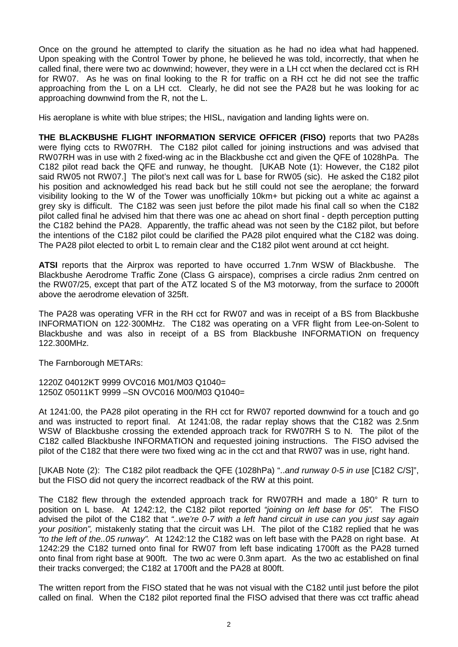Once on the ground he attempted to clarify the situation as he had no idea what had happened. Upon speaking with the Control Tower by phone, he believed he was told, incorrectly, that when he called final, there were two ac downwind; however, they were in a LH cct when the declared cct is RH for RW07. As he was on final looking to the R for traffic on a RH cct he did not see the traffic approaching from the L on a LH cct. Clearly, he did not see the PA28 but he was looking for ac approaching downwind from the R, not the L.

His aeroplane is white with blue stripes; the HISL, navigation and landing lights were on.

**THE BLACKBUSHE FLIGHT INFORMATION SERVICE OFFICER (FISO)** reports that two PA28s were flying ccts to RW07RH. The C182 pilot called for joining instructions and was advised that RW07RH was in use with 2 fixed-wing ac in the Blackbushe cct and given the QFE of 1028hPa. The C182 pilot read back the QFE and runway, he thought. [UKAB Note (1): However, the C182 pilot said RW05 not RW07.] The pilot's next call was for L base for RW05 (sic). He asked the C182 pilot his position and acknowledged his read back but he still could not see the aeroplane; the forward visibility looking to the W of the Tower was unofficially 10km+ but picking out a white ac against a grey sky is difficult. The C182 was seen just before the pilot made his final call so when the C182 pilot called final he advised him that there was one ac ahead on short final - depth perception putting the C182 behind the PA28. Apparently, the traffic ahead was not seen by the C182 pilot, but before the intentions of the C182 pilot could be clarified the PA28 pilot enquired what the C182 was doing. The PA28 pilot elected to orbit L to remain clear and the C182 pilot went around at cct height.

**ATSI** reports that the Airprox was reported to have occurred 1.7nm WSW of Blackbushe. The Blackbushe Aerodrome Traffic Zone (Class G airspace), comprises a circle radius 2nm centred on the RW07/25, except that part of the ATZ located S of the M3 motorway, from the surface to 2000ft above the aerodrome elevation of 325ft.

The PA28 was operating VFR in the RH cct for RW07 and was in receipt of a BS from Blackbushe INFORMATION on 122·300MHz. The C182 was operating on a VFR flight from Lee-on-Solent to Blackbushe and was also in receipt of a BS from Blackbushe INFORMATION on frequency 122.300MHz.

The Farnborough METARs:

1220Z 04012KT 9999 OVC016 M01/M03 Q1040= 1250Z 05011KT 9999 –SN OVC016 M00/M03 Q1040=

At 1241:00, the PA28 pilot operating in the RH cct for RW07 reported downwind for a touch and go and was instructed to report final. At 1241:08, the radar replay shows that the C182 was 2.5nm WSW of Blackbushe crossing the extended approach track for RW07RH S to N. The pilot of the C182 called Blackbushe INFORMATION and requested joining instructions. The FISO advised the pilot of the C182 that there were two fixed wing ac in the cct and that RW07 was in use, right hand.

[UKAB Note (2): The C182 pilot readback the QFE (1028hPa) "..*and runway 0-5 in use* [C182 C/S]", but the FISO did not query the incorrect readback of the RW at this point.

The C182 flew through the extended approach track for RW07RH and made a 180° R turn to position on L base. At 1242:12, the C182 pilot reported *"joining on left base for 05".* The FISO advised the pilot of the C182 that *"..we're 0-7 with a left hand circuit in use can you just say again your position",* mistakenly stating that the circuit was LH. The pilot of the C182 replied that he was *"to the left of the..05 runway".* At 1242:12 the C182 was on left base with the PA28 on right base. At 1242:29 the C182 turned onto final for RW07 from left base indicating 1700ft as the PA28 turned onto final from right base at 900ft. The two ac were 0.3nm apart. As the two ac established on final their tracks converged; the C182 at 1700ft and the PA28 at 800ft.

The written report from the FISO stated that he was not visual with the C182 until just before the pilot called on final. When the C182 pilot reported final the FISO advised that there was cct traffic ahead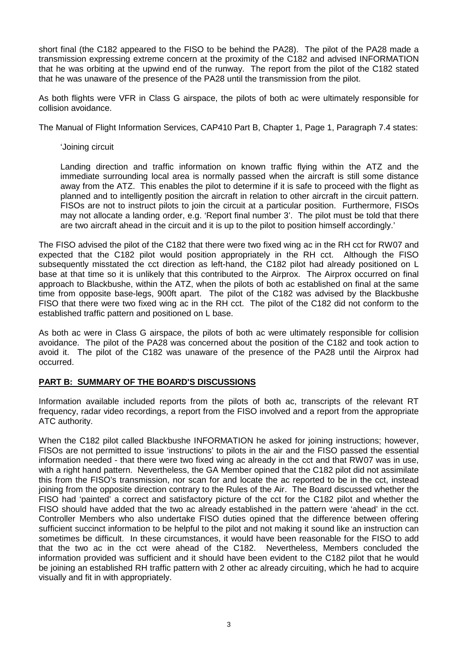short final (the C182 appeared to the FISO to be behind the PA28). The pilot of the PA28 made a transmission expressing extreme concern at the proximity of the C182 and advised INFORMATION that he was orbiting at the upwind end of the runway. The report from the pilot of the C182 stated that he was unaware of the presence of the PA28 until the transmission from the pilot.

As both flights were VFR in Class G airspace, the pilots of both ac were ultimately responsible for collision avoidance.

The Manual of Flight Information Services, CAP410 Part B, Chapter 1, Page 1, Paragraph 7.4 states:

'Joining circuit

Landing direction and traffic information on known traffic flying within the ATZ and the immediate surrounding local area is normally passed when the aircraft is still some distance away from the ATZ. This enables the pilot to determine if it is safe to proceed with the flight as planned and to intelligently position the aircraft in relation to other aircraft in the circuit pattern. FISOs are not to instruct pilots to join the circuit at a particular position. Furthermore, FISOs may not allocate a landing order, e.g. 'Report final number 3'. The pilot must be told that there are two aircraft ahead in the circuit and it is up to the pilot to position himself accordingly.'

The FISO advised the pilot of the C182 that there were two fixed wing ac in the RH cct for RW07 and expected that the C182 pilot would position appropriately in the RH cct. Although the FISO subsequently misstated the cct direction as left-hand, the C182 pilot had already positioned on L base at that time so it is unlikely that this contributed to the Airprox. The Airprox occurred on final approach to Blackbushe, within the ATZ, when the pilots of both ac established on final at the same time from opposite base-legs, 900ft apart. The pilot of the C182 was advised by the Blackbushe FISO that there were two fixed wing ac in the RH cct. The pilot of the C182 did not conform to the established traffic pattern and positioned on L base.

As both ac were in Class G airspace, the pilots of both ac were ultimately responsible for collision avoidance. The pilot of the PA28 was concerned about the position of the C182 and took action to avoid it. The pilot of the C182 was unaware of the presence of the PA28 until the Airprox had occurred.

## **PART B: SUMMARY OF THE BOARD'S DISCUSSIONS**

Information available included reports from the pilots of both ac, transcripts of the relevant RT frequency, radar video recordings, a report from the FISO involved and a report from the appropriate ATC authority.

When the C182 pilot called Blackbushe INFORMATION he asked for joining instructions; however, FISOs are not permitted to issue 'instructions' to pilots in the air and the FISO passed the essential information needed - that there were two fixed wing ac already in the cct and that RW07 was in use, with a right hand pattern. Nevertheless, the GA Member opined that the C182 pilot did not assimilate this from the FISO's transmission, nor scan for and locate the ac reported to be in the cct, instead joining from the opposite direction contrary to the Rules of the Air. The Board discussed whether the FISO had 'painted' a correct and satisfactory picture of the cct for the C182 pilot and whether the FISO should have added that the two ac already established in the pattern were 'ahead' in the cct. Controller Members who also undertake FISO duties opined that the difference between offering sufficient succinct information to be helpful to the pilot and not making it sound like an instruction can sometimes be difficult. In these circumstances, it would have been reasonable for the FISO to add that the two ac in the cct were ahead of the C182. Nevertheless, Members concluded the information provided was sufficient and it should have been evident to the C182 pilot that he would be joining an established RH traffic pattern with 2 other ac already circuiting, which he had to acquire visually and fit in with appropriately.